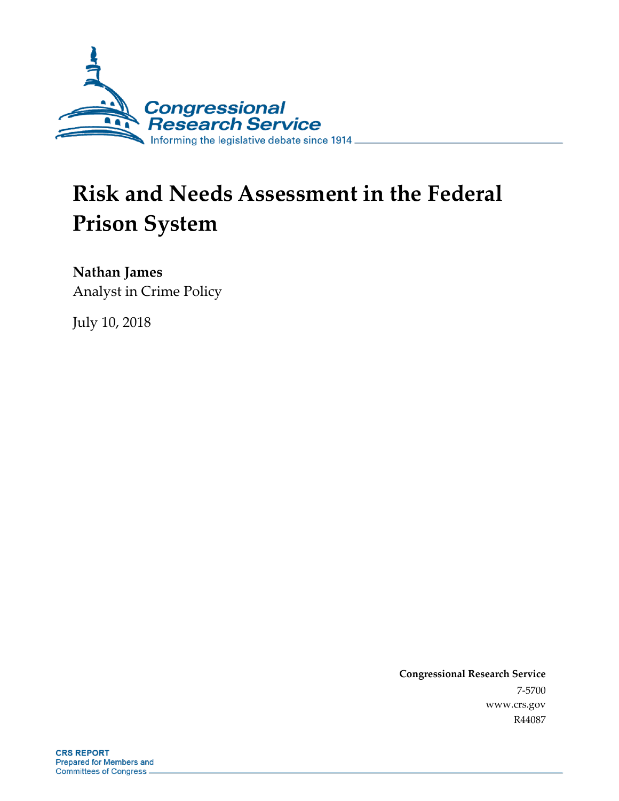

# **Risk and Needs Assessment in the Federal Prison System**

**Nathan James**

Analyst in Crime Policy

July 10, 2018

**Congressional Research Service** 7-5700 www.crs.gov R44087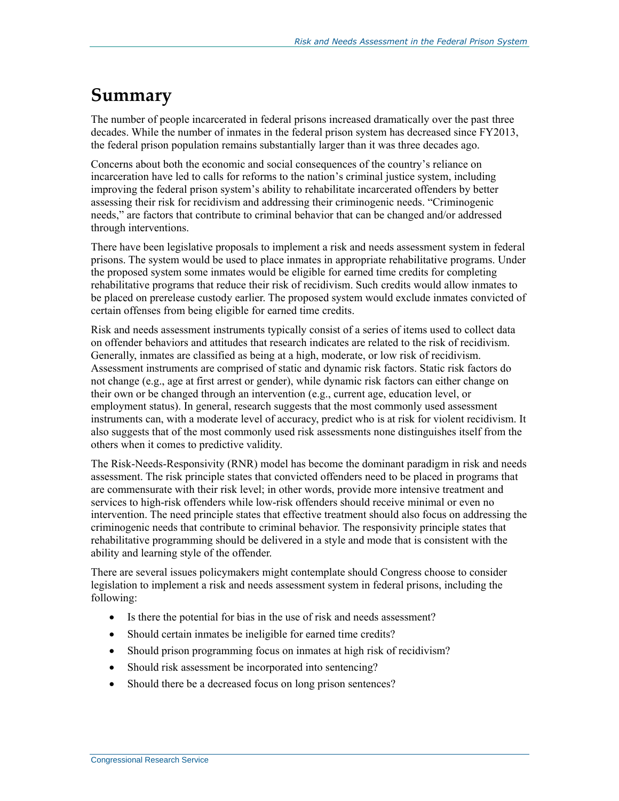### **Summary**

The number of people incarcerated in federal prisons increased dramatically over the past three decades. While the number of inmates in the federal prison system has decreased since FY2013, the federal prison population remains substantially larger than it was three decades ago.

Concerns about both the economic and social consequences of the country's reliance on incarceration have led to calls for reforms to the nation's criminal justice system, including improving the federal prison system's ability to rehabilitate incarcerated offenders by better assessing their risk for recidivism and addressing their criminogenic needs. "Criminogenic needs," are factors that contribute to criminal behavior that can be changed and/or addressed through interventions.

There have been legislative proposals to implement a risk and needs assessment system in federal prisons. The system would be used to place inmates in appropriate rehabilitative programs. Under the proposed system some inmates would be eligible for earned time credits for completing rehabilitative programs that reduce their risk of recidivism. Such credits would allow inmates to be placed on prerelease custody earlier. The proposed system would exclude inmates convicted of certain offenses from being eligible for earned time credits.

Risk and needs assessment instruments typically consist of a series of items used to collect data on offender behaviors and attitudes that research indicates are related to the risk of recidivism. Generally, inmates are classified as being at a high, moderate, or low risk of recidivism. Assessment instruments are comprised of static and dynamic risk factors. Static risk factors do not change (e.g., age at first arrest or gender), while dynamic risk factors can either change on their own or be changed through an intervention (e.g., current age, education level, or employment status). In general, research suggests that the most commonly used assessment instruments can, with a moderate level of accuracy, predict who is at risk for violent recidivism. It also suggests that of the most commonly used risk assessments none distinguishes itself from the others when it comes to predictive validity.

The Risk-Needs-Responsivity (RNR) model has become the dominant paradigm in risk and needs assessment. The risk principle states that convicted offenders need to be placed in programs that are commensurate with their risk level; in other words, provide more intensive treatment and services to high-risk offenders while low-risk offenders should receive minimal or even no intervention. The need principle states that effective treatment should also focus on addressing the criminogenic needs that contribute to criminal behavior. The responsivity principle states that rehabilitative programming should be delivered in a style and mode that is consistent with the ability and learning style of the offender.

There are several issues policymakers might contemplate should Congress choose to consider legislation to implement a risk and needs assessment system in federal prisons, including the following:

- Is there the potential for bias in the use of risk and needs assessment?
- Should certain inmates be ineligible for earned time credits?
- Should prison programming focus on inmates at high risk of recidivism?
- Should risk assessment be incorporated into sentencing?
- Should there be a decreased focus on long prison sentences?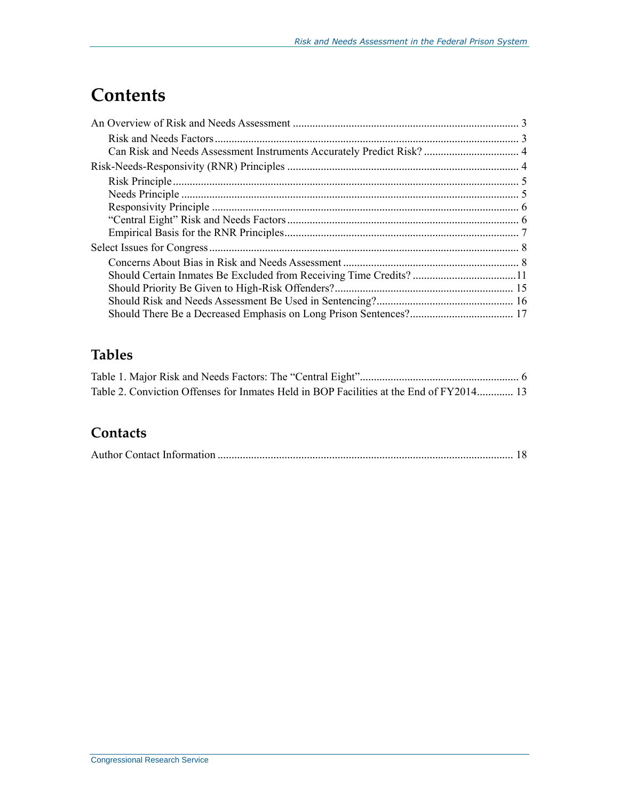### **Contents**

| Should Certain Inmates Be Excluded from Receiving Time Credits? 11 |  |
|--------------------------------------------------------------------|--|
|                                                                    |  |
|                                                                    |  |
|                                                                    |  |

### **Tables**

|  | Table 2. Conviction Offenses for Inmates Held in BOP Facilities at the End of FY2014 13 |  |  |  |
|--|-----------------------------------------------------------------------------------------|--|--|--|

#### **Contacts**

|--|--|--|--|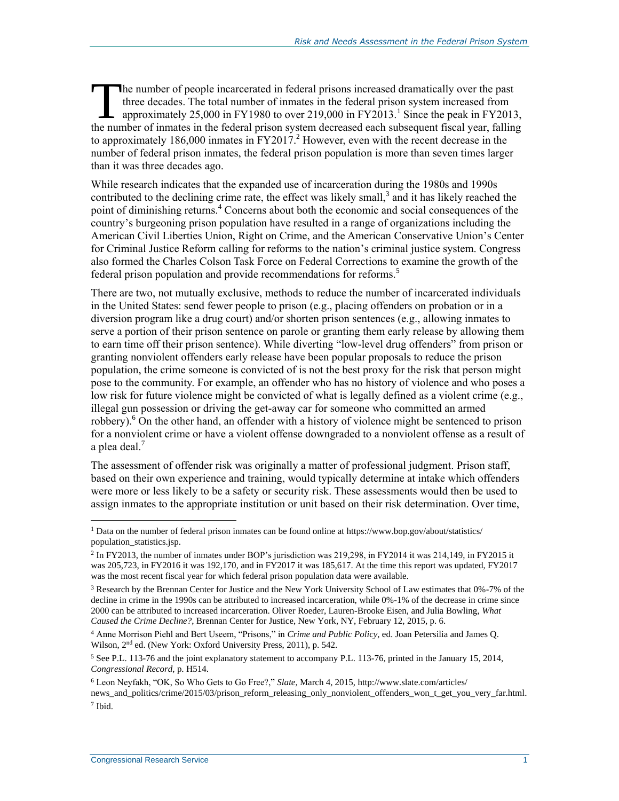he number of people incarcerated in federal prisons increased dramatically over the past three decades. The total number of inmates in the federal prison system increased from approximately 25,000 in FY1980 to over 219,000 in FY2013.<sup>1</sup> Since the peak in FY2013, The number of people incarcerated in federal prisons increased dramatically over the past<br>three decades. The total number of inmates in the federal prison system increased from<br>approximately 25,000 in FY1980 to over 219,00 to approximately 186,000 inmates in FY2017. <sup>2</sup> However, even with the recent decrease in the number of federal prison inmates, the federal prison population is more than seven times larger than it was three decades ago.

While research indicates that the expanded use of incarceration during the 1980s and 1990s contributed to the declining crime rate, the effect was likely small, $3$  and it has likely reached the point of diminishing returns.<sup>4</sup> Concerns about both the economic and social consequences of the country's burgeoning prison population have resulted in a range of organizations including the American Civil Liberties Union, Right on Crime, and the American Conservative Union's Center for Criminal Justice Reform calling for reforms to the nation's criminal justice system. Congress also formed the Charles Colson Task Force on Federal Corrections to examine the growth of the federal prison population and provide recommendations for reforms.<sup>5</sup>

There are two, not mutually exclusive, methods to reduce the number of incarcerated individuals in the United States: send fewer people to prison (e.g., placing offenders on probation or in a diversion program like a drug court) and/or shorten prison sentences (e.g., allowing inmates to serve a portion of their prison sentence on parole or granting them early release by allowing them to earn time off their prison sentence). While diverting "low-level drug offenders" from prison or granting nonviolent offenders early release have been popular proposals to reduce the prison population, the crime someone is convicted of is not the best proxy for the risk that person might pose to the community. For example, an offender who has no history of violence and who poses a low risk for future violence might be convicted of what is legally defined as a violent crime (e.g., illegal gun possession or driving the get-away car for someone who committed an armed robbery).<sup>6</sup> On the other hand, an offender with a history of violence might be sentenced to prison for a nonviolent crime or have a violent offense downgraded to a nonviolent offense as a result of a plea deal. $<sup>7</sup>$ </sup>

The assessment of offender risk was originally a matter of professional judgment. Prison staff, based on their own experience and training, would typically determine at intake which offenders were more or less likely to be a safety or security risk. These assessments would then be used to assign inmates to the appropriate institution or unit based on their risk determination. Over time,

 $\overline{a}$ <sup>1</sup> Data on the number of federal prison inmates can be found online at https://www.bop.gov/about/statistics/ population\_statistics.jsp.

<sup>&</sup>lt;sup>2</sup> In FY2013, the number of inmates under BOP's jurisdiction was 219,298, in FY2014 it was 214,149, in FY2015 it was 205,723, in FY2016 it was 192,170, and in FY2017 it was 185,617. At the time this report was updated, FY2017 was the most recent fiscal year for which federal prison population data were available.

<sup>3</sup> Research by the Brennan Center for Justice and the New York University School of Law estimates that 0%-7% of the decline in crime in the 1990s can be attributed to increased incarceration, while 0%-1% of the decrease in crime since 2000 can be attributed to increased incarceration. Oliver Roeder, Lauren-Brooke Eisen, and Julia Bowling, *What Caused the Crime Decline?*, Brennan Center for Justice, New York, NY, February 12, 2015, p. 6.

<sup>4</sup> Anne Morrison Piehl and Bert Useem, "Prisons," in *Crime and Public Policy*, ed. Joan Petersilia and James Q. Wilson, 2nd ed. (New York: Oxford University Press, 2011), p. 542.

<sup>&</sup>lt;sup>5</sup> See P.L. 113-76 and the joint explanatory statement to accompany P.L. 113-76, printed in the January 15, 2014, *Congressional Record*, p. H514.

<sup>6</sup> Leon Neyfakh, "OK, So Who Gets to Go Free?," *Slate*, March 4, 2015, http://www.slate.com/articles/ news\_and\_politics/crime/2015/03/prison\_reform\_releasing\_only\_nonviolent\_offenders\_won\_t\_get\_you\_very\_far.html. 7 Ibid.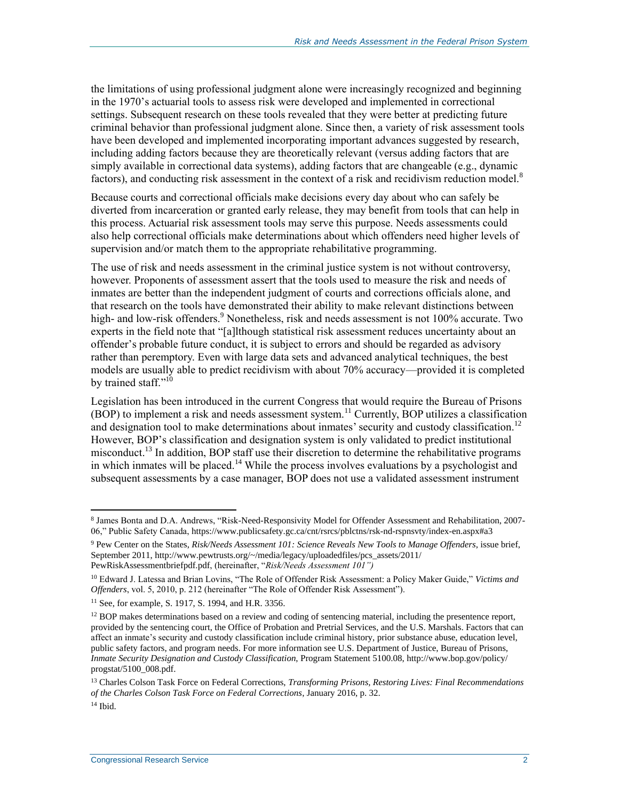the limitations of using professional judgment alone were increasingly recognized and beginning in the 1970's actuarial tools to assess risk were developed and implemented in correctional settings. Subsequent research on these tools revealed that they were better at predicting future criminal behavior than professional judgment alone. Since then, a variety of risk assessment tools have been developed and implemented incorporating important advances suggested by research, including adding factors because they are theoretically relevant (versus adding factors that are simply available in correctional data systems), adding factors that are changeable (e.g., dynamic factors), and conducting risk assessment in the context of a risk and recidivism reduction model.<sup>8</sup>

Because courts and correctional officials make decisions every day about who can safely be diverted from incarceration or granted early release, they may benefit from tools that can help in this process. Actuarial risk assessment tools may serve this purpose. Needs assessments could also help correctional officials make determinations about which offenders need higher levels of supervision and/or match them to the appropriate rehabilitative programming.

The use of risk and needs assessment in the criminal justice system is not without controversy, however. Proponents of assessment assert that the tools used to measure the risk and needs of inmates are better than the independent judgment of courts and corrections officials alone, and that research on the tools have demonstrated their ability to make relevant distinctions between high- and low-risk offenders.<sup>9</sup> Nonetheless, risk and needs assessment is not 100% accurate. Two experts in the field note that "[a]lthough statistical risk assessment reduces uncertainty about an offender's probable future conduct, it is subject to errors and should be regarded as advisory rather than peremptory. Even with large data sets and advanced analytical techniques, the best models are usually able to predict recidivism with about 70% accuracy—provided it is completed by trained staff."<sup>10</sup>

Legislation has been introduced in the current Congress that would require the Bureau of Prisons  $(BOP)$  to implement a risk and needs assessment system.<sup>11</sup> Currently, BOP utilizes a classification and designation tool to make determinations about inmates' security and custody classification.<sup>12</sup> However, BOP's classification and designation system is only validated to predict institutional misconduct.<sup>13</sup> In addition, BOP staff use their discretion to determine the rehabilitative programs in which inmates will be placed.<sup>14</sup> While the process involves evaluations by a psychologist and subsequent assessments by a case manager, BOP does not use a validated assessment instrument

<sup>8</sup> James Bonta and D.A. Andrews, "Risk-Need-Responsivity Model for Offender Assessment and Rehabilitation, 2007- 06," Public Safety Canada, https://www.publicsafety.gc.ca/cnt/rsrcs/pblctns/rsk-nd-rspnsvty/index-en.aspx#a3

<sup>9</sup> Pew Center on the States, *Risk/Needs Assessment 101: Science Reveals New Tools to Manage Offenders*, issue brief, September 2011, http://www.pewtrusts.org/~/media/legacy/uploadedfiles/pcs\_assets/2011/ PewRiskAssessmentbriefpdf.pdf, (hereinafter, "*Risk/Needs Assessment 101")*

<sup>10</sup> Edward J. Latessa and Brian Lovins, "The Role of Offender Risk Assessment: a Policy Maker Guide," *Victims and Offenders*, vol. 5, 2010, p. 212 (hereinafter "The Role of Offender Risk Assessment").

<sup>11</sup> See, for example, S. 1917, S. 1994, and H.R. 3356.

 $12$  BOP makes determinations based on a review and coding of sentencing material, including the presentence report, provided by the sentencing court, the Office of Probation and Pretrial Services, and the U.S. Marshals. Factors that can affect an inmate's security and custody classification include criminal history, prior substance abuse, education level, public safety factors, and program needs. For more information see U.S. Department of Justice, Bureau of Prisons, *Inmate Security Designation and Custody Classification*, Program Statement 5100.08, http://www.bop.gov/policy/ progstat/5100\_008.pdf.

<sup>13</sup> Charles Colson Task Force on Federal Corrections, *Transforming Prisons, Restoring Lives: Final Recommendations of the Charles Colson Task Force on Federal Corrections*, January 2016, p. 32.

<sup>14</sup> Ibid.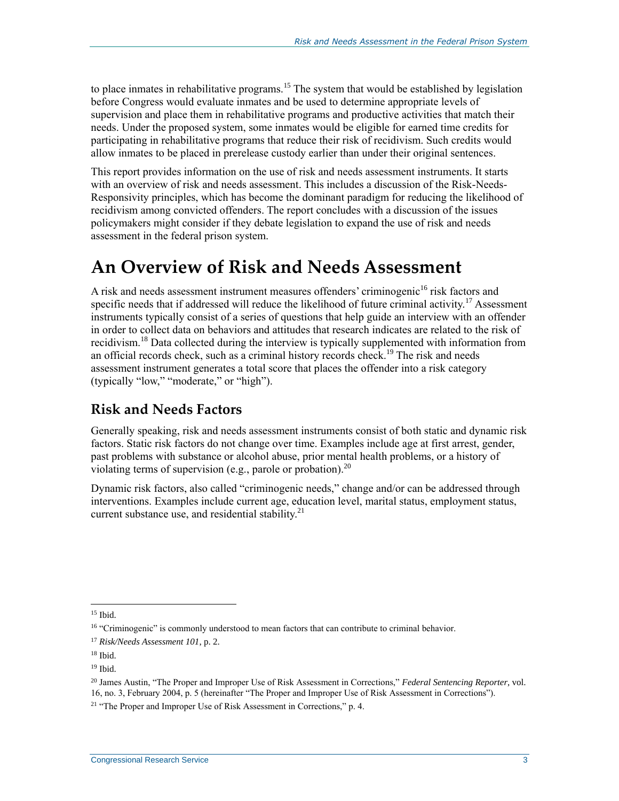to place inmates in rehabilitative programs.<sup>15</sup> The system that would be established by legislation before Congress would evaluate inmates and be used to determine appropriate levels of supervision and place them in rehabilitative programs and productive activities that match their needs. Under the proposed system, some inmates would be eligible for earned time credits for participating in rehabilitative programs that reduce their risk of recidivism. Such credits would allow inmates to be placed in prerelease custody earlier than under their original sentences.

This report provides information on the use of risk and needs assessment instruments. It starts with an overview of risk and needs assessment. This includes a discussion of the Risk-Needs-Responsivity principles, which has become the dominant paradigm for reducing the likelihood of recidivism among convicted offenders. The report concludes with a discussion of the issues policymakers might consider if they debate legislation to expand the use of risk and needs assessment in the federal prison system.

### **An Overview of Risk and Needs Assessment**

A risk and needs assessment instrument measures offenders' criminogenic<sup>16</sup> risk factors and specific needs that if addressed will reduce the likelihood of future criminal activity.<sup>17</sup> Assessment instruments typically consist of a series of questions that help guide an interview with an offender in order to collect data on behaviors and attitudes that research indicates are related to the risk of recidivism.<sup>18</sup> Data collected during the interview is typically supplemented with information from an official records check, such as a criminal history records check.<sup>19</sup> The risk and needs assessment instrument generates a total score that places the offender into a risk category (typically "low," "moderate," or "high").

#### **Risk and Needs Factors**

Generally speaking, risk and needs assessment instruments consist of both static and dynamic risk factors. Static risk factors do not change over time. Examples include age at first arrest, gender, past problems with substance or alcohol abuse, prior mental health problems, or a history of violating terms of supervision (e.g., parole or probation).<sup>20</sup>

Dynamic risk factors, also called "criminogenic needs," change and/or can be addressed through interventions. Examples include current age, education level, marital status, employment status, current substance use, and residential stability.<sup>21</sup>

<sup>15</sup> Ibid.

<sup>&</sup>lt;sup>16</sup> "Criminogenic" is commonly understood to mean factors that can contribute to criminal behavior.

<sup>17</sup> *Risk/Needs Assessment 101*, p. 2.

<sup>18</sup> Ibid.

<sup>19</sup> Ibid.

<sup>20</sup> James Austin, "The Proper and Improper Use of Risk Assessment in Corrections," *Federal Sentencing Reporter*, vol. 16, no. 3, February 2004, p. 5 (hereinafter "The Proper and Improper Use of Risk Assessment in Corrections").

<sup>&</sup>lt;sup>21</sup> "The Proper and Improper Use of Risk Assessment in Corrections," p. 4.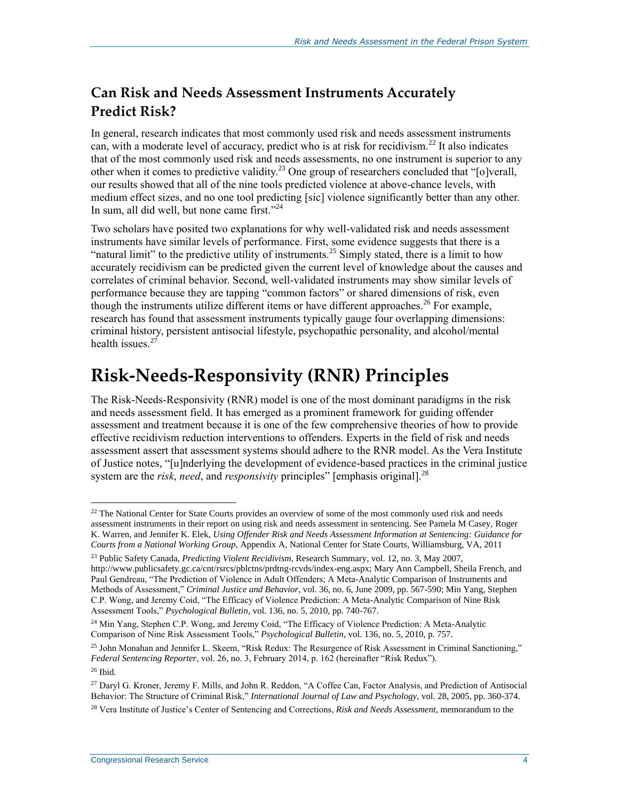#### **Can Risk and Needs Assessment Instruments Accurately Predict Risk?**

In general, research indicates that most commonly used risk and needs assessment instruments can, with a moderate level of accuracy, predict who is at risk for recidivism.<sup>22</sup> It also indicates that of the most commonly used risk and needs assessments, no one instrument is superior to any other when it comes to predictive validity.<sup>23</sup> One group of researchers concluded that "[o]verall, our results showed that all of the nine tools predicted violence at above-chance levels, with medium effect sizes, and no one tool predicting [sic] violence significantly better than any other. In sum, all did well, but none came first."<sup>24</sup>

Two scholars have posited two explanations for why well-validated risk and needs assessment instruments have similar levels of performance. First, some evidence suggests that there is a "natural limit" to the predictive utility of instruments.<sup>25</sup> Simply stated, there is a limit to how accurately recidivism can be predicted given the current level of knowledge about the causes and correlates of criminal behavior. Second, well-validated instruments may show similar levels of performance because they are tapping "common factors" or shared dimensions of risk, even though the instruments utilize different items or have different approaches.<sup>26</sup> For example, research has found that assessment instruments typically gauge four overlapping dimensions: criminal history, persistent antisocial lifestyle, psychopathic personality, and alcohol/mental health issues. $27$ 

## **Risk-Needs-Responsivity (RNR) Principles**

The Risk-Needs-Responsivity (RNR) model is one of the most dominant paradigms in the risk and needs assessment field. It has emerged as a prominent framework for guiding offender assessment and treatment because it is one of the few comprehensive theories of how to provide effective recidivism reduction interventions to offenders. Experts in the field of risk and needs assessment assert that assessment systems should adhere to the RNR model. As the Vera Institute of Justice notes, "[u]nderlying the development of evidence-based practices in the criminal justice system are the *risk*, *need*, and *responsivity* principles" [emphasis original].<sup>28</sup>

<sup>&</sup>lt;sup>22</sup> The National Center for State Courts provides an overview of some of the most commonly used risk and needs assessment instruments in their report on using risk and needs assessment in sentencing. See Pamela M Casey, Roger K. Warren, and Jennifer K. Elek, *Using Offender Risk and Needs Assessment Information at Sentencing: Guidance for Courts from a National Working Group*, Appendix A, National Center for State Courts, Williamsburg, VA, 2011

<sup>23</sup> Public Safety Canada, *Predicting Violent Recidivism*, Research Summary, vol. 12, no. 3, May 2007, http://www.publicsafety.gc.ca/cnt/rsrcs/pblctns/prdtng-rcvds/index-eng.aspx; Mary Ann Campbell, Sheila French, and Paul Gendreau, "The Prediction of Violence in Adult Offenders; A Meta-Analytic Comparison of Instruments and Methods of Assessment," *Criminal Justice and Behavior*, vol. 36, no. 6, June 2009, pp. 567-590; Min Yang, Stephen C.P. Wong, and Jeremy Coid, "The Efficacy of Violence Prediction: A Meta-Analytic Comparison of Nine Risk Assessment Tools," *Psychological Bulletin*, vol. 136, no. 5, 2010, pp. 740-767.

<sup>&</sup>lt;sup>24</sup> Min Yang, Stephen C.P. Wong, and Jeremy Coid, "The Efficacy of Violence Prediction: A Meta-Analytic Comparison of Nine Risk Assessment Tools," *Psychological Bulletin*, vol. 136, no. 5, 2010, p. 757.

<sup>&</sup>lt;sup>25</sup> John Monahan and Jennifer L. Skeem, "Risk Redux: The Resurgence of Risk Assessment in Criminal Sanctioning," *Federal Sentencing Reporter*, vol. 26, no. 3, February 2014, p. 162 (hereinafter "Risk Redux").

<sup>26</sup> Ibid.

<sup>&</sup>lt;sup>27</sup> Daryl G. Kroner, Jeremy F. Mills, and John R. Reddon, "A Coffee Can, Factor Analysis, and Prediction of Antisocial Behavior: The Structure of Criminal Risk," *International Journal of Law and Psychology*, vol. 28, 2005, pp. 360-374. <sup>28</sup> Vera Institute of Justice's Center of Sentencing and Corrections, *Risk and Needs Assessment*, memorandum to the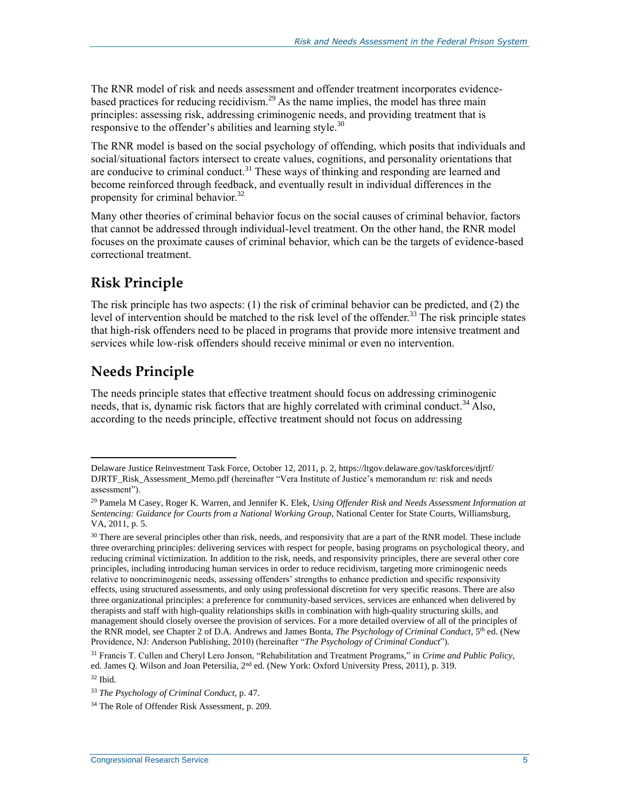The RNR model of risk and needs assessment and offender treatment incorporates evidencebased practices for reducing recidivism.<sup>29</sup> As the name implies, the model has three main principles: assessing risk, addressing criminogenic needs, and providing treatment that is responsive to the offender's abilities and learning style.<sup>30</sup>

The RNR model is based on the social psychology of offending, which posits that individuals and social/situational factors intersect to create values, cognitions, and personality orientations that are conducive to criminal conduct.<sup>31</sup> These ways of thinking and responding are learned and become reinforced through feedback, and eventually result in individual differences in the propensity for criminal behavior.<sup>32</sup>

Many other theories of criminal behavior focus on the social causes of criminal behavior, factors that cannot be addressed through individual-level treatment. On the other hand, the RNR model focuses on the proximate causes of criminal behavior, which can be the targets of evidence-based correctional treatment.

### **Risk Principle**

The risk principle has two aspects: (1) the risk of criminal behavior can be predicted, and (2) the level of intervention should be matched to the risk level of the offender.<sup>33</sup> The risk principle states that high-risk offenders need to be placed in programs that provide more intensive treatment and services while low-risk offenders should receive minimal or even no intervention.

### **Needs Principle**

The needs principle states that effective treatment should focus on addressing criminogenic needs, that is, dynamic risk factors that are highly correlated with criminal conduct.<sup>34</sup> Also, according to the needs principle, effective treatment should not focus on addressing

Delaware Justice Reinvestment Task Force, October 12, 2011, p. 2, https://ltgov.delaware.gov/taskforces/djrtf/ DJRTF\_Risk\_Assessment\_Memo.pdf (hereinafter "Vera Institute of Justice's memorandum re: risk and needs assessment").

<sup>29</sup> Pamela M Casey, Roger K. Warren, and Jennifer K. Elek, *Using Offender Risk and Needs Assessment Information at Sentencing: Guidance for Courts from a National Working Group*, National Center for State Courts, Williamsburg, VA, 2011, p. 5.

 $30$  There are several principles other than risk, needs, and responsivity that are a part of the RNR model. These include three overarching principles: delivering services with respect for people, basing programs on psychological theory, and reducing criminal victimization. In addition to the risk, needs, and responsivity principles, there are several other core principles, including introducing human services in order to reduce recidivism, targeting more criminogenic needs relative to noncriminogenic needs, assessing offenders' strengths to enhance prediction and specific responsivity effects, using structured assessments, and only using professional discretion for very specific reasons. There are also three organizational principles: a preference for community-based services, services are enhanced when delivered by therapists and staff with high-quality relationships skills in combination with high-quality structuring skills, and management should closely oversee the provision of services. For a more detailed overview of all of the principles of the RNR model, see Chapter 2 of D.A. Andrews and James Bonta, *The Psychology of Criminal Conduct*, 5th ed. (New Providence, NJ: Anderson Publishing, 2010) (hereinafter "*The Psychology of Criminal Conduct*").

<sup>31</sup> Francis T. Cullen and Cheryl Lero Jonson, "Rehabilitation and Treatment Programs," in *Crime and Public Policy*, ed. James Q. Wilson and Joan Petersilia, 2<sup>nd</sup> ed. (New York: Oxford University Press, 2011), p. 319.

<sup>32</sup> Ibid.

<sup>33</sup> *The Psychology of Criminal Conduct*, p. 47.

<sup>34</sup> The Role of Offender Risk Assessment, p. 209.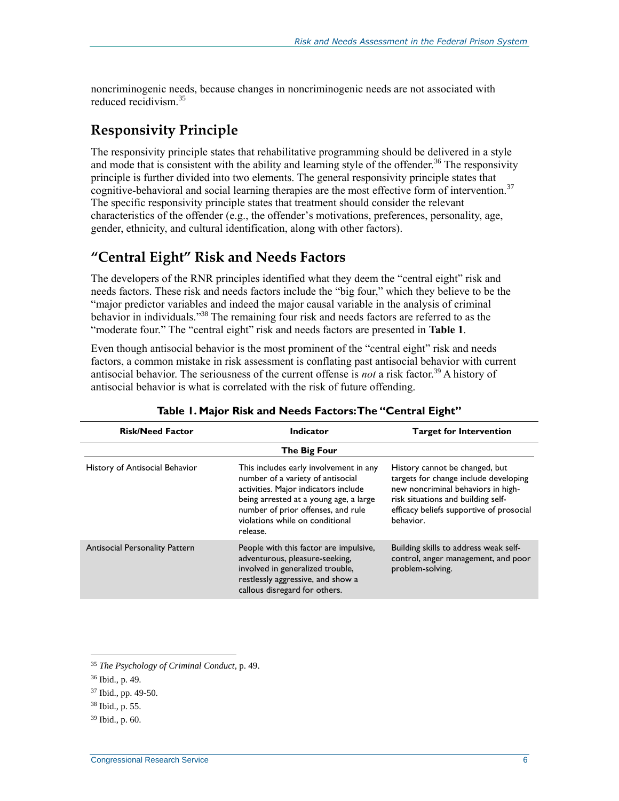noncriminogenic needs, because changes in noncriminogenic needs are not associated with reduced recidivism.<sup>35</sup>

#### **Responsivity Principle**

The responsivity principle states that rehabilitative programming should be delivered in a style and mode that is consistent with the ability and learning style of the offender.<sup>36</sup> The responsivity principle is further divided into two elements. The general responsivity principle states that cognitive-behavioral and social learning therapies are the most effective form of intervention.<sup>37</sup> The specific responsivity principle states that treatment should consider the relevant characteristics of the offender (e.g., the offender's motivations, preferences, personality, age, gender, ethnicity, and cultural identification, along with other factors).

#### **"Central Eight" Risk and Needs Factors**

The developers of the RNR principles identified what they deem the "central eight" risk and needs factors. These risk and needs factors include the "big four," which they believe to be the "major predictor variables and indeed the major causal variable in the analysis of criminal behavior in individuals."<sup>38</sup> The remaining four risk and needs factors are referred to as the "moderate four." The "central eight" risk and needs factors are presented in **[Table 1](#page-8-0)**.

Even though antisocial behavior is the most prominent of the "central eight" risk and needs factors, a common mistake in risk assessment is conflating past antisocial behavior with current antisocial behavior. The seriousness of the current offense is *not* a risk factor.<sup>39</sup> A history of antisocial behavior is what is correlated with the risk of future offending.

<span id="page-8-0"></span>

| <b>Risk/Need Factor</b>               | <b>Indicator</b>                                                                                                                                                                                                                                   | <b>Target for Intervention</b>                                                                                                                                                                               |  |  |  |
|---------------------------------------|----------------------------------------------------------------------------------------------------------------------------------------------------------------------------------------------------------------------------------------------------|--------------------------------------------------------------------------------------------------------------------------------------------------------------------------------------------------------------|--|--|--|
|                                       | The Big Four                                                                                                                                                                                                                                       |                                                                                                                                                                                                              |  |  |  |
| History of Antisocial Behavior        | This includes early involvement in any<br>number of a variety of antisocial<br>activities. Major indicators include<br>being arrested at a young age, a large<br>number of prior offenses, and rule<br>violations while on conditional<br>release. | History cannot be changed, but<br>targets for change include developing<br>new noncriminal behaviors in high-<br>risk situations and building self-<br>efficacy beliefs supportive of prosocial<br>behavior. |  |  |  |
| <b>Antisocial Personality Pattern</b> | People with this factor are impulsive,<br>adventurous, pleasure-seeking,<br>involved in generalized trouble,<br>restlessly aggressive, and show a<br>callous disregard for others.                                                                 | Building skills to address weak self-<br>control, anger management, and poor<br>problem-solving.                                                                                                             |  |  |  |

#### **Table 1. Major Risk and Needs Factors: The "Central Eight"**

<sup>35</sup> *The Psychology of Criminal Conduct*, p. 49.

<sup>36</sup> Ibid., p. 49.

<sup>37</sup> Ibid., pp. 49-50.

<sup>38</sup> Ibid., p. 55.

<sup>39</sup> Ibid., p. 60.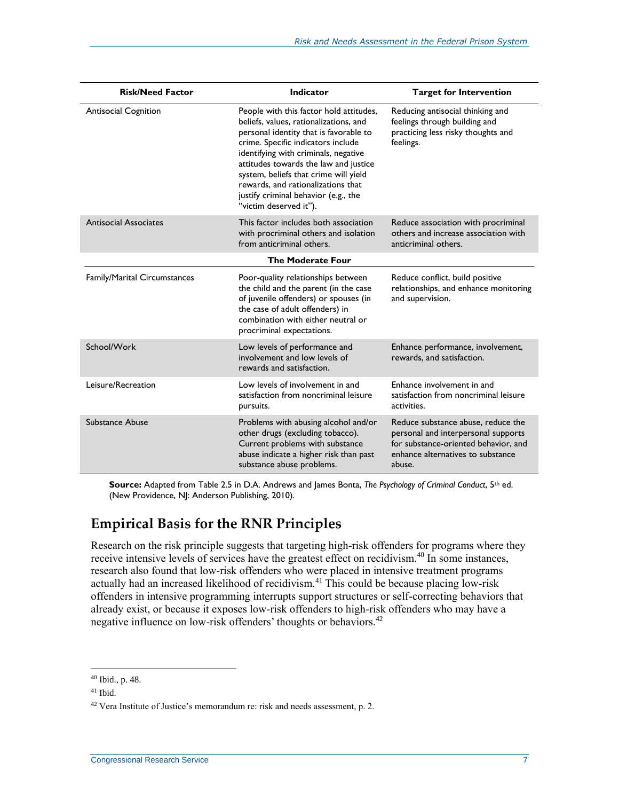| <b>Risk/Need Factor</b>             | <b>Indicator</b>                                                                                                                                                                                                                                                                                                                                                                                    | <b>Target for Intervention</b>                                                                                                                                   |  |  |  |  |  |  |  |
|-------------------------------------|-----------------------------------------------------------------------------------------------------------------------------------------------------------------------------------------------------------------------------------------------------------------------------------------------------------------------------------------------------------------------------------------------------|------------------------------------------------------------------------------------------------------------------------------------------------------------------|--|--|--|--|--|--|--|
| <b>Antisocial Cognition</b>         | People with this factor hold attitudes,<br>beliefs, values, rationalizations, and<br>personal identity that is favorable to<br>crime. Specific indicators include<br>identifying with criminals, negative<br>attitudes towards the law and justice<br>system, beliefs that crime will yield<br>rewards, and rationalizations that<br>justify criminal behavior (e.g., the<br>"victim deserved it"). | Reducing antisocial thinking and<br>feelings through building and<br>practicing less risky thoughts and<br>feelings.                                             |  |  |  |  |  |  |  |
| <b>Antisocial Associates</b>        | This factor includes both association<br>with procriminal others and isolation<br>from anticriminal others.                                                                                                                                                                                                                                                                                         | Reduce association with procriminal<br>others and increase association with<br>anticriminal others.                                                              |  |  |  |  |  |  |  |
| <b>The Moderate Four</b>            |                                                                                                                                                                                                                                                                                                                                                                                                     |                                                                                                                                                                  |  |  |  |  |  |  |  |
| <b>Family/Marital Circumstances</b> | Poor-quality relationships between<br>the child and the parent (in the case<br>of juvenile offenders) or spouses (in<br>the case of adult offenders) in<br>combination with either neutral or<br>procriminal expectations.                                                                                                                                                                          | Reduce conflict, build positive<br>relationships, and enhance monitoring<br>and supervision.                                                                     |  |  |  |  |  |  |  |
| School/Work                         | Low levels of performance and<br>involvement and low levels of<br>rewards and satisfaction.                                                                                                                                                                                                                                                                                                         | Enhance performance, involvement,<br>rewards, and satisfaction.                                                                                                  |  |  |  |  |  |  |  |
| Leisure/Recreation                  | Low levels of involvement in and<br>satisfaction from noncriminal leisure<br>pursuits.                                                                                                                                                                                                                                                                                                              | Enhance involvement in and<br>satisfaction from noncriminal leisure<br>activities.                                                                               |  |  |  |  |  |  |  |
| Substance Abuse                     | Problems with abusing alcohol and/or<br>other drugs (excluding tobacco).<br>Current problems with substance<br>abuse indicate a higher risk than past<br>substance abuse problems.                                                                                                                                                                                                                  | Reduce substance abuse, reduce the<br>personal and interpersonal supports<br>for substance-oriented behavior, and<br>enhance alternatives to substance<br>abuse. |  |  |  |  |  |  |  |

**Source:** Adapted from Table 2.5 in D.A. Andrews and James Bonta, *The Psychology of Criminal Conduct*, 5th ed. (New Providence, NJ: Anderson Publishing, 2010).

#### **Empirical Basis for the RNR Principles**

Research on the risk principle suggests that targeting high-risk offenders for programs where they receive intensive levels of services have the greatest effect on recidivism.<sup>40</sup> In some instances, research also found that low-risk offenders who were placed in intensive treatment programs actually had an increased likelihood of recidivism.<sup>41</sup> This could be because placing low-risk offenders in intensive programming interrupts support structures or self-correcting behaviors that already exist, or because it exposes low-risk offenders to high-risk offenders who may have a negative influence on low-risk offenders' thoughts or behaviors.<sup>42</sup>

<sup>40</sup> Ibid., p. 48.

<sup>41</sup> Ibid.

<sup>42</sup> Vera Institute of Justice's memorandum re: risk and needs assessment, p. 2.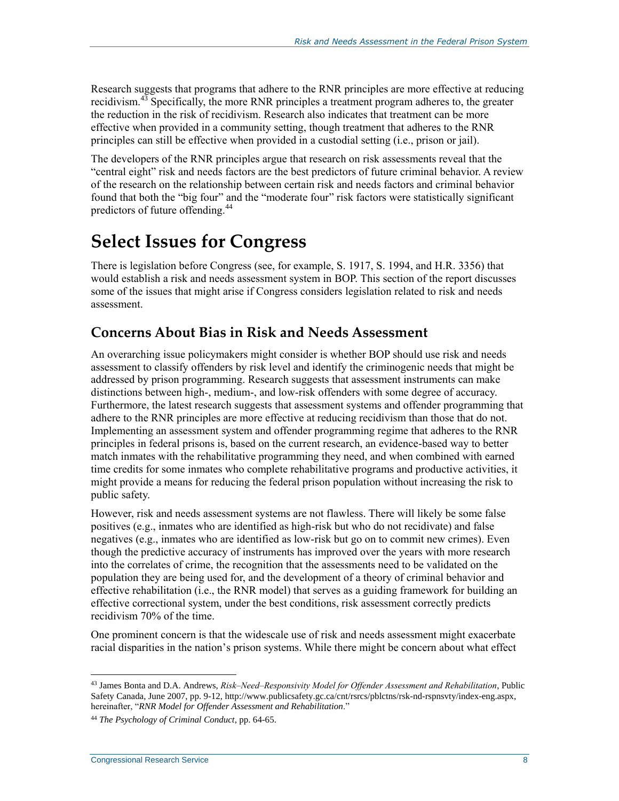Research suggests that programs that adhere to the RNR principles are more effective at reducing recidivism. $43$  Specifically, the more RNR principles a treatment program adheres to, the greater the reduction in the risk of recidivism. Research also indicates that treatment can be more effective when provided in a community setting, though treatment that adheres to the RNR principles can still be effective when provided in a custodial setting (i.e., prison or jail).

The developers of the RNR principles argue that research on risk assessments reveal that the "central eight" risk and needs factors are the best predictors of future criminal behavior. A review of the research on the relationship between certain risk and needs factors and criminal behavior found that both the "big four" and the "moderate four" risk factors were statistically significant predictors of future offending.<sup>44</sup>

### **Select Issues for Congress**

There is legislation before Congress (see, for example, S. 1917, S. 1994, and H.R. 3356) that would establish a risk and needs assessment system in BOP. This section of the report discusses some of the issues that might arise if Congress considers legislation related to risk and needs assessment.

#### **Concerns About Bias in Risk and Needs Assessment**

An overarching issue policymakers might consider is whether BOP should use risk and needs assessment to classify offenders by risk level and identify the criminogenic needs that might be addressed by prison programming. Research suggests that assessment instruments can make distinctions between high-, medium-, and low-risk offenders with some degree of accuracy. Furthermore, the latest research suggests that assessment systems and offender programming that adhere to the RNR principles are more effective at reducing recidivism than those that do not. Implementing an assessment system and offender programming regime that adheres to the RNR principles in federal prisons is, based on the current research, an evidence-based way to better match inmates with the rehabilitative programming they need, and when combined with earned time credits for some inmates who complete rehabilitative programs and productive activities, it might provide a means for reducing the federal prison population without increasing the risk to public safety.

However, risk and needs assessment systems are not flawless. There will likely be some false positives (e.g., inmates who are identified as high-risk but who do not recidivate) and false negatives (e.g., inmates who are identified as low-risk but go on to commit new crimes). Even though the predictive accuracy of instruments has improved over the years with more research into the correlates of crime, the recognition that the assessments need to be validated on the population they are being used for, and the development of a theory of criminal behavior and effective rehabilitation (i.e., the RNR model) that serves as a guiding framework for building an effective correctional system, under the best conditions, risk assessment correctly predicts recidivism 70% of the time.

One prominent concern is that the widescale use of risk and needs assessment might exacerbate racial disparities in the nation's prison systems. While there might be concern about what effect

<sup>43</sup> James Bonta and D.A. Andrews, *Risk‒Need‒Responsivity Model for Offender Assessment and Rehabilitation*, Public Safety Canada, June 2007, pp. 9-12, http://www.publicsafety.gc.ca/cnt/rsrcs/pblctns/rsk-nd-rspnsvty/index-eng.aspx, hereinafter, "*RNR Model for Offender Assessment and Rehabilitation*."

<sup>44</sup> *The Psychology of Criminal Conduct*, pp. 64-65.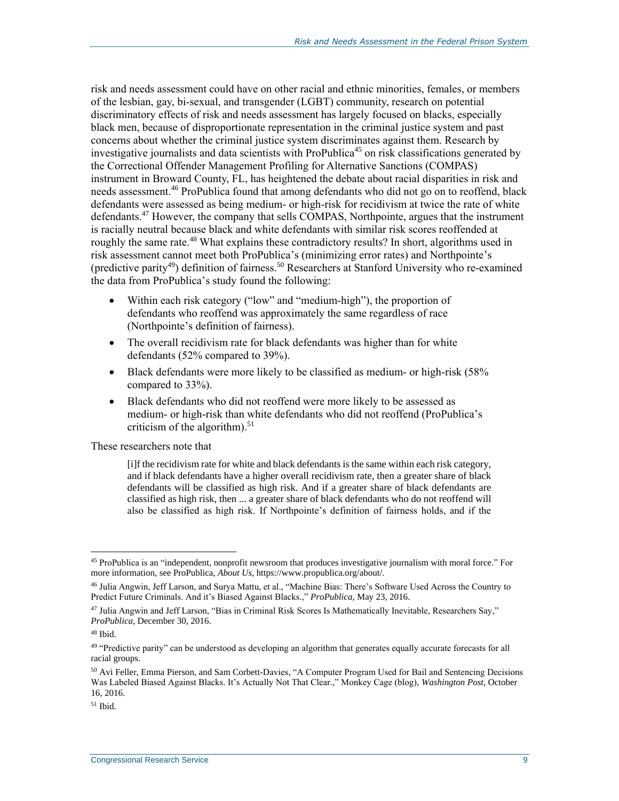risk and needs assessment could have on other racial and ethnic minorities, females, or members of the lesbian, gay, bi-sexual, and transgender (LGBT) community, research on potential discriminatory effects of risk and needs assessment has largely focused on blacks, especially black men, because of disproportionate representation in the criminal justice system and past concerns about whether the criminal justice system discriminates against them. Research by investigative journalists and data scientists with ProPublica<sup>45</sup> on risk classifications generated by the Correctional Offender Management Profiling for Alternative Sanctions (COMPAS) instrument in Broward County, FL, has heightened the debate about racial disparities in risk and needs assessment.<sup>46</sup> ProPublica found that among defendants who did not go on to reoffend, black defendants were assessed as being medium- or high-risk for recidivism at twice the rate of white defendants.<sup>47</sup> However, the company that sells COMPAS, Northpointe, argues that the instrument is racially neutral because black and white defendants with similar risk scores reoffended at roughly the same rate.<sup>48</sup> What explains these contradictory results? In short, algorithms used in risk assessment cannot meet both ProPublica's (minimizing error rates) and Northpointe's (predictive parity<sup>49</sup>) definition of fairness.<sup>50</sup> Researchers at Stanford University who re-examined the data from ProPublica's study found the following:

- Within each risk category ("low" and "medium-high"), the proportion of defendants who reoffend was approximately the same regardless of race (Northpointe's definition of fairness).
- The overall recidivism rate for black defendants was higher than for white defendants (52% compared to 39%).
- Black defendants were more likely to be classified as medium- or high-risk (58% compared to 33%).
- Black defendants who did not reoffend were more likely to be assessed as medium- or high-risk than white defendants who did not reoffend (ProPublica's criticism of the algorithm). 51

These researchers note that

[i]f the recidivism rate for white and black defendants is the same within each risk category, and if black defendants have a higher overall recidivism rate, then a greater share of black defendants will be classified as high risk. And if a greater share of black defendants are classified as high risk, then ... a greater share of black defendants who do not reoffend will also be classified as high risk. If Northpointe's definition of fairness holds, and if the

<sup>45</sup> ProPublica is an "independent, nonprofit newsroom that produces investigative journalism with moral force." For more information, see ProPublica, *About Us*, https://www.propublica.org/about/.

<sup>46</sup> Julia Angwin, Jeff Larson, and Surya Mattu, et al., "Machine Bias: There's Software Used Across the Country to Predict Future Criminals. And it's Biased Against Blacks.," *ProPublica*, May 23, 2016.

<sup>47</sup> Julia Angwin and Jeff Larson, "Bias in Criminal Risk Scores Is Mathematically Inevitable, Researchers Say," *ProPublica*, December 30, 2016.

<sup>48</sup> Ibid.

<sup>&</sup>lt;sup>49</sup> "Predictive parity" can be understood as developing an algorithm that generates equally accurate forecasts for all racial groups.

<sup>50</sup> Avi Feller, Emma Pierson, and Sam Corbett-Davies, "A Computer Program Used for Bail and Sentencing Decisions Was Labeled Biased Against Blacks. It's Actually Not That Clear.," Monkey Cage (blog), *Washington Post*, October 16, 2016.

 $51$  Ibid.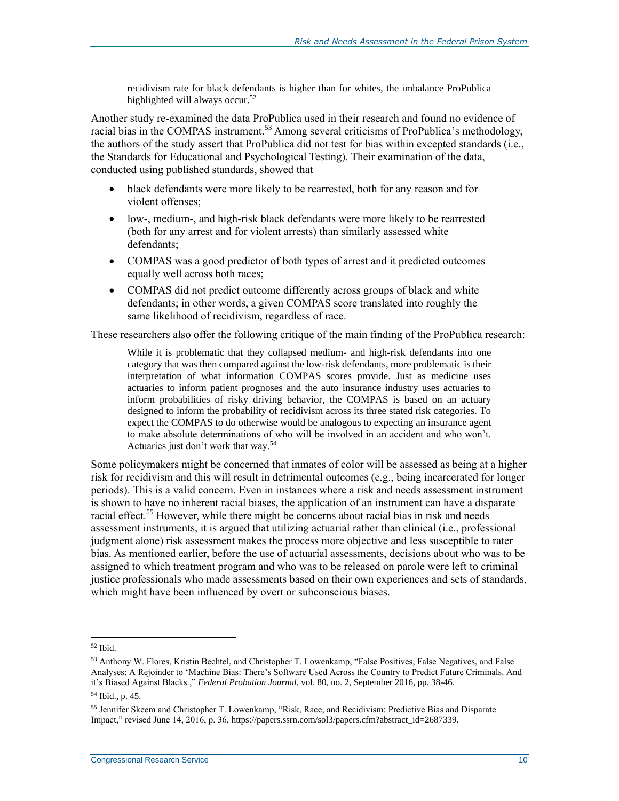recidivism rate for black defendants is higher than for whites, the imbalance ProPublica highlighted will always occur.<sup>52</sup>

Another study re-examined the data ProPublica used in their research and found no evidence of racial bias in the COMPAS instrument.<sup>53</sup> Among several criticisms of ProPublica's methodology, the authors of the study assert that ProPublica did not test for bias within excepted standards (i.e., the Standards for Educational and Psychological Testing). Their examination of the data, conducted using published standards, showed that

- black defendants were more likely to be rearrested, both for any reason and for violent offenses;
- low-, medium-, and high-risk black defendants were more likely to be rearrested (both for any arrest and for violent arrests) than similarly assessed white defendants;
- COMPAS was a good predictor of both types of arrest and it predicted outcomes equally well across both races;
- COMPAS did not predict outcome differently across groups of black and white defendants; in other words, a given COMPAS score translated into roughly the same likelihood of recidivism, regardless of race.

These researchers also offer the following critique of the main finding of the ProPublica research:

While it is problematic that they collapsed medium- and high-risk defendants into one category that was then compared against the low-risk defendants, more problematic is their interpretation of what information COMPAS scores provide. Just as medicine uses actuaries to inform patient prognoses and the auto insurance industry uses actuaries to inform probabilities of risky driving behavior, the COMPAS is based on an actuary designed to inform the probability of recidivism across its three stated risk categories. To expect the COMPAS to do otherwise would be analogous to expecting an insurance agent to make absolute determinations of who will be involved in an accident and who won't. Actuaries just don't work that way.<sup>54</sup>

Some policymakers might be concerned that inmates of color will be assessed as being at a higher risk for recidivism and this will result in detrimental outcomes (e.g., being incarcerated for longer periods). This is a valid concern. Even in instances where a risk and needs assessment instrument is shown to have no inherent racial biases, the application of an instrument can have a disparate racial effect.<sup>55</sup> However, while there might be concerns about racial bias in risk and needs assessment instruments, it is argued that utilizing actuarial rather than clinical (i.e., professional judgment alone) risk assessment makes the process more objective and less susceptible to rater bias. As mentioned earlier, before the use of actuarial assessments, decisions about who was to be assigned to which treatment program and who was to be released on parole were left to criminal justice professionals who made assessments based on their own experiences and sets of standards, which might have been influenced by overt or subconscious biases.

<sup>52</sup> Ibid.

<sup>53</sup> Anthony W. Flores, Kristin Bechtel, and Christopher T. Lowenkamp, "False Positives, False Negatives, and False Analyses: A Rejoinder to 'Machine Bias: There's Software Used Across the Country to Predict Future Criminals. And it's Biased Against Blacks.," *Federal Probation Journal*, vol. 80, no. 2, September 2016, pp. 38-46.

<sup>54</sup> Ibid., p. 45.

<sup>55</sup> Jennifer Skeem and Christopher T. Lowenkamp, "Risk, Race, and Recidivism: Predictive Bias and Disparate Impact," revised June 14, 2016, p. 36, https://papers.ssrn.com/sol3/papers.cfm?abstract\_id=2687339.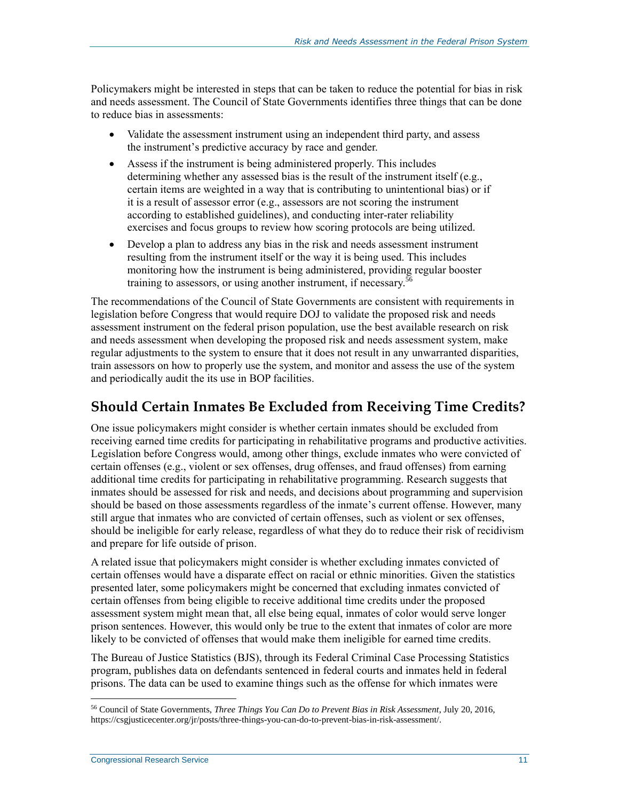Policymakers might be interested in steps that can be taken to reduce the potential for bias in risk and needs assessment. The Council of State Governments identifies three things that can be done to reduce bias in assessments:

- Validate the assessment instrument using an independent third party, and assess the instrument's predictive accuracy by race and gender.
- Assess if the instrument is being administered properly. This includes determining whether any assessed bias is the result of the instrument itself (e.g., certain items are weighted in a way that is contributing to unintentional bias) or if it is a result of assessor error (e.g., assessors are not scoring the instrument according to established guidelines), and conducting inter-rater reliability exercises and focus groups to review how scoring protocols are being utilized.
- Develop a plan to address any bias in the risk and needs assessment instrument resulting from the instrument itself or the way it is being used. This includes monitoring how the instrument is being administered, providing regular booster training to assessors, or using another instrument, if necessary.<sup>5</sup>

The recommendations of the Council of State Governments are consistent with requirements in legislation before Congress that would require DOJ to validate the proposed risk and needs assessment instrument on the federal prison population, use the best available research on risk and needs assessment when developing the proposed risk and needs assessment system, make regular adjustments to the system to ensure that it does not result in any unwarranted disparities, train assessors on how to properly use the system, and monitor and assess the use of the system and periodically audit the its use in BOP facilities.

#### **Should Certain Inmates Be Excluded from Receiving Time Credits?**

One issue policymakers might consider is whether certain inmates should be excluded from receiving earned time credits for participating in rehabilitative programs and productive activities. Legislation before Congress would, among other things, exclude inmates who were convicted of certain offenses (e.g., violent or sex offenses, drug offenses, and fraud offenses) from earning additional time credits for participating in rehabilitative programming. Research suggests that inmates should be assessed for risk and needs, and decisions about programming and supervision should be based on those assessments regardless of the inmate's current offense. However, many still argue that inmates who are convicted of certain offenses, such as violent or sex offenses, should be ineligible for early release, regardless of what they do to reduce their risk of recidivism and prepare for life outside of prison.

A related issue that policymakers might consider is whether excluding inmates convicted of certain offenses would have a disparate effect on racial or ethnic minorities. Given the statistics presented later, some policymakers might be concerned that excluding inmates convicted of certain offenses from being eligible to receive additional time credits under the proposed assessment system might mean that, all else being equal, inmates of color would serve longer prison sentences. However, this would only be true to the extent that inmates of color are more likely to be convicted of offenses that would make them ineligible for earned time credits.

The Bureau of Justice Statistics (BJS), through its Federal Criminal Case Processing Statistics program, publishes data on defendants sentenced in federal courts and inmates held in federal prisons. The data can be used to examine things such as the offense for which inmates were

<sup>56</sup> Council of State Governments, *Three Things You Can Do to Prevent Bias in Risk Assessment*, July 20, 2016, https://csgjusticecenter.org/jr/posts/three-things-you-can-do-to-prevent-bias-in-risk-assessment/.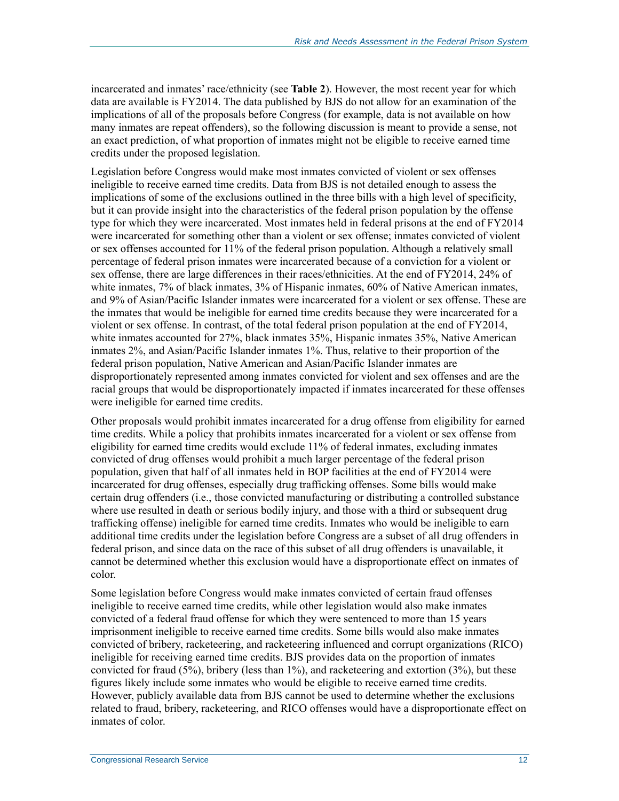incarcerated and inmates' race/ethnicity (see **[Table 2](#page-15-0)**). However, the most recent year for which data are available is FY2014. The data published by BJS do not allow for an examination of the implications of all of the proposals before Congress (for example, data is not available on how many inmates are repeat offenders), so the following discussion is meant to provide a sense, not an exact prediction, of what proportion of inmates might not be eligible to receive earned time credits under the proposed legislation.

Legislation before Congress would make most inmates convicted of violent or sex offenses ineligible to receive earned time credits. Data from BJS is not detailed enough to assess the implications of some of the exclusions outlined in the three bills with a high level of specificity, but it can provide insight into the characteristics of the federal prison population by the offense type for which they were incarcerated. Most inmates held in federal prisons at the end of FY2014 were incarcerated for something other than a violent or sex offense; inmates convicted of violent or sex offenses accounted for 11% of the federal prison population. Although a relatively small percentage of federal prison inmates were incarcerated because of a conviction for a violent or sex offense, there are large differences in their races/ethnicities. At the end of FY2014, 24% of white inmates, 7% of black inmates, 3% of Hispanic inmates, 60% of Native American inmates, and 9% of Asian/Pacific Islander inmates were incarcerated for a violent or sex offense. These are the inmates that would be ineligible for earned time credits because they were incarcerated for a violent or sex offense. In contrast, of the total federal prison population at the end of FY2014, white inmates accounted for 27%, black inmates 35%, Hispanic inmates 35%, Native American inmates 2%, and Asian/Pacific Islander inmates 1%. Thus, relative to their proportion of the federal prison population, Native American and Asian/Pacific Islander inmates are disproportionately represented among inmates convicted for violent and sex offenses and are the racial groups that would be disproportionately impacted if inmates incarcerated for these offenses were ineligible for earned time credits.

Other proposals would prohibit inmates incarcerated for a drug offense from eligibility for earned time credits. While a policy that prohibits inmates incarcerated for a violent or sex offense from eligibility for earned time credits would exclude 11% of federal inmates, excluding inmates convicted of drug offenses would prohibit a much larger percentage of the federal prison population, given that half of all inmates held in BOP facilities at the end of FY2014 were incarcerated for drug offenses, especially drug trafficking offenses. Some bills would make certain drug offenders (i.e., those convicted manufacturing or distributing a controlled substance where use resulted in death or serious bodily injury, and those with a third or subsequent drug trafficking offense) ineligible for earned time credits. Inmates who would be ineligible to earn additional time credits under the legislation before Congress are a subset of all drug offenders in federal prison, and since data on the race of this subset of all drug offenders is unavailable, it cannot be determined whether this exclusion would have a disproportionate effect on inmates of color.

Some legislation before Congress would make inmates convicted of certain fraud offenses ineligible to receive earned time credits, while other legislation would also make inmates convicted of a federal fraud offense for which they were sentenced to more than 15 years imprisonment ineligible to receive earned time credits. Some bills would also make inmates convicted of bribery, racketeering, and racketeering influenced and corrupt organizations (RICO) ineligible for receiving earned time credits. BJS provides data on the proportion of inmates convicted for fraud  $(5\%)$ , bribery (less than 1%), and racketeering and extortion  $(3\%)$ , but these figures likely include some inmates who would be eligible to receive earned time credits. However, publicly available data from BJS cannot be used to determine whether the exclusions related to fraud, bribery, racketeering, and RICO offenses would have a disproportionate effect on inmates of color.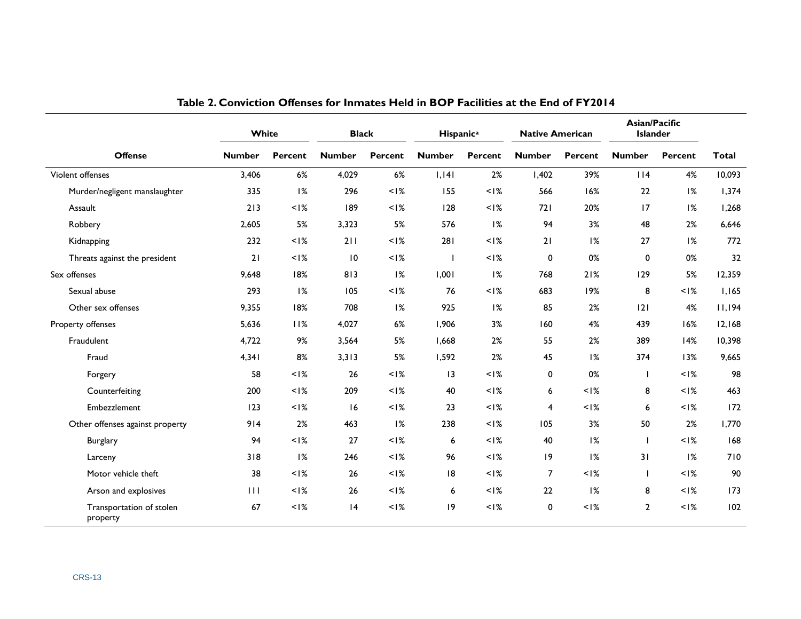<span id="page-15-0"></span>

|                                      | White         |         | <b>Black</b>  |                | Hispanic <sup>a</sup> |                | <b>Native American</b> |                | Asian/Pacific<br><b>Islander</b> |                |              |
|--------------------------------------|---------------|---------|---------------|----------------|-----------------------|----------------|------------------------|----------------|----------------------------------|----------------|--------------|
| <b>Offense</b>                       | <b>Number</b> | Percent | <b>Number</b> | <b>Percent</b> | <b>Number</b>         | <b>Percent</b> | <b>Number</b>          | <b>Percent</b> | <b>Number</b>                    | <b>Percent</b> | <b>Total</b> |
| Violent offenses                     | 3,406         | 6%      | 4,029         | 6%             | 1,141                 | 2%             | 1,402                  | 39%            | 114                              | 4%             | 10,093       |
| Murder/negligent manslaughter        | 335           | 1%      | 296           | $<$ $1\%$      | 155                   | $<$ I%         | 566                    | 16%            | 22                               | 1%             | 1,374        |
| Assault                              | 213           | $<$  %  | 189           | $<$ $1\%$      | 128                   | $<$ I%         | 721                    | 20%            | 17                               | 1%             | 1,268        |
| Robbery                              | 2,605         | 5%      | 3,323         | 5%             | 576                   | 1%             | 94                     | 3%             | 48                               | 2%             | 6,646        |
| Kidnapping                           | 232           | $<$  %  | 211           | $<$ l%         | 281                   | $<$ I%         | 21                     | 1%             | 27                               | 1%             | 772          |
| Threats against the president        | 21            | $<$  %  | 10            | $<$ I%         | $\blacksquare$        | $<$ I%         | 0                      | 0%             | $\mathbf 0$                      | 0%             | 32           |
| Sex offenses                         | 9,648         | 18%     | 813           | 1%             | 1,001                 | 1%             | 768                    | 21%            | 129                              | 5%             | 12,359       |
| Sexual abuse                         | 293           | 1%      | 105           | $<$ I%         | 76                    | $<$ I%         | 683                    | 19%            | 8                                | $<$ I%         | 1,165        |
| Other sex offenses                   | 9,355         | 18%     | 708           | 1%             | 925                   | 1%             | 85                     | 2%             | 2                                | 4%             | 11,194       |
| Property offenses                    | 5,636         | 11%     | 4,027         | 6%             | 1,906                 | 3%             | 160                    | 4%             | 439                              | 16%            | 12,168       |
| Fraudulent                           | 4,722         | 9%      | 3,564         | 5%             | 1,668                 | 2%             | 55                     | 2%             | 389                              | 14%            | 10,398       |
| Fraud                                | 4,341         | 8%      | 3,313         | 5%             | 1,592                 | 2%             | 45                     | 1%             | 374                              | 13%            | 9,665        |
| Forgery                              | 58            | $<$  %  | 26            | $<$ $1\%$      | $\overline{13}$       | $<$ I%         | 0                      | 0%             |                                  | $< 1\%$        | 98           |
| Counterfeiting                       | 200           | $<$  %  | 209           | $<$ I%         | 40                    | $<$ I%         | 6                      | $<$ l%         | 8                                | $<$ I%         | 463          |
| Embezzlement                         | 123           | $<$  %  | 16            | $<$ $1\%$      | 23                    | $<$ I%         | $\overline{4}$         | $<$ l%         | 6                                | $< 1\%$        | 172          |
| Other offenses against property      | 914           | 2%      | 463           | 1%             | 238                   | $<$ I%         | 105                    | 3%             | 50                               | 2%             | 1,770        |
| <b>Burglary</b>                      | 94            | $<$  %  | 27            | $<$ $1\%$      | 6                     | $<$ I%         | 40                     | 1%             | $\overline{\phantom{a}}$         | $<$ I%         | 168          |
| Larceny                              | 318           | 1%      | 246           | $<$   $\%$     | 96                    | $<$ I%         | 9                      | 1%             | 31                               | 1%             | 710          |
| Motor vehicle theft                  | 38            | $<$  %  | 26            | $<$ I%         | 8                     | $< 1\%$        | $\overline{7}$         | $<$ l%         |                                  | $<$ I%         | 90           |
| Arson and explosives                 | 111           | $<$ I%  | 26            | $<$   $\%$     | 6                     | $<$ I%         | 22                     | 1%             | 8                                | $<$ l%         | 173          |
| Transportation of stolen<br>property | 67            | $<$  %  | 4             | $<$ l%         | 9                     | $< 1\%$        | 0                      | $<$ l%         | $\mathbf{2}$                     | $<$ I%         | 102          |

**Table 2. Conviction Offenses for Inmates Held in BOP Facilities at the End of FY2014**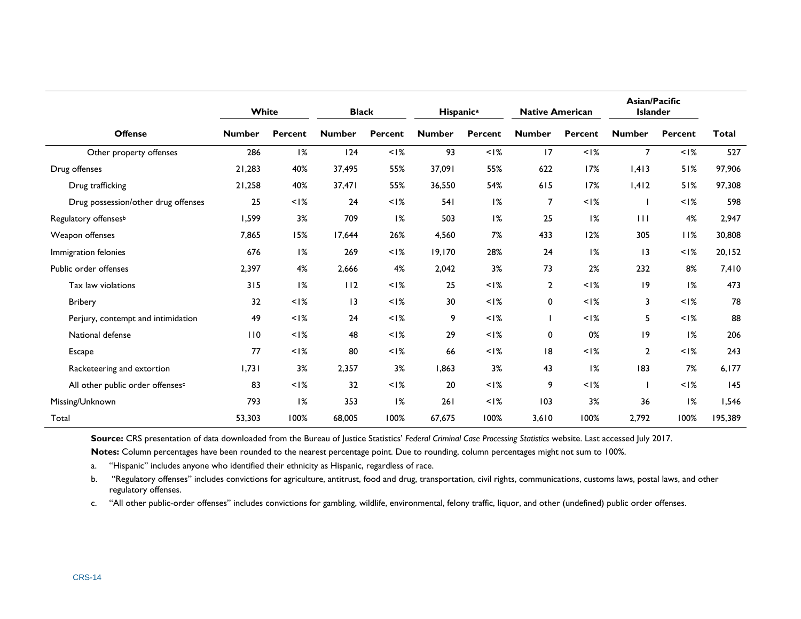|                                     | White         |                   | <b>Black</b>    |                   | Hispanic <sup>a</sup> |           | <b>Native American</b> |                   | Asian/Pacific<br><b>Islander</b> |                   |              |  |
|-------------------------------------|---------------|-------------------|-----------------|-------------------|-----------------------|-----------|------------------------|-------------------|----------------------------------|-------------------|--------------|--|
| <b>Offense</b>                      | <b>Number</b> | <b>Percent</b>    | <b>Number</b>   | Percent           | <b>Number</b>         | Percent   | <b>Number</b>          | Percent           | <b>Number</b>                    | <b>Percent</b>    | <b>Total</b> |  |
| Other property offenses             | 286           | 1%                | 124             | $<$   $\%$        | 93                    | $<$  %    | 17                     | $<$   $\%$        | $\overline{7}$                   | $< 1\%$           | 527          |  |
| Drug offenses                       | 21,283        | 40%               | 37,495          | 55%               | 37,091                | 55%       | 622                    | 17%               | 1,413                            | 51%               | 97,906       |  |
| Drug trafficking                    | 21,258        | 40%               | 37,471          | 55%               | 36,550                | 54%       | 615                    | 17%               | 1,412                            | 51%               | 97,308       |  |
| Drug possession/other drug offenses | 25            | $<$ $\frac{8}{6}$ | 24              | $<$ $\frac{8}{2}$ | 541                   | 1%        | $\overline{7}$         | $<$ $\frac{8}{6}$ |                                  | $<$ $\frac{8}{6}$ | 598          |  |
| Regulatory offenses <sup>b</sup>    | 1,599         | 3%                | 709             | 1%                | 503                   | 1%        | 25                     | 1%                | $\perp$                          | 4%                | 2,947        |  |
| Weapon offenses                     | 7,865         | 15%               | 17,644          | 26%               | 4,560                 | 7%        | 433                    | 12%               | 305                              | 11%               | 30,808       |  |
| Immigration felonies                | 676           | 1%                | 269             | $<$ I%            | 19,170                | 28%       | 24                     | 1%                | 3                                | $<$ $1\%$         | 20,152       |  |
| Public order offenses               | 2,397         | 4%                | 2,666           | 4%                | 2,042                 | 3%        | 73                     | 2%                | 232                              | 8%                | 7,410        |  |
| Tax law violations                  | 315           | 1%                | 112             | $<$ I%            | 25                    | $<$ $1\%$ | $\overline{2}$         | $<$ $\frac{8}{6}$ | 9                                | 1%                | 473          |  |
| Bribery                             | 32            | $<$ l%            | $\overline{13}$ | $<$ I%            | 30                    | $<$ l%    | $\mathbf 0$            | $<$ I%            | 3                                | $<$ $\frac{8}{6}$ | 78           |  |
| Perjury, contempt and intimidation  | 49            | $<$ l%            | 24              | $< 1\%$           | 9                     | $<$ $1\%$ |                        | $< 1\%$           | 5                                | $< 1\%$           | 88           |  |
| National defense                    | 110           | $<$ $\frac{8}{6}$ | 48              | $<$ $\frac{8}{2}$ | 29                    | $1\%$     | 0                      | 0%                | 19                               | 1%                | 206          |  |
| <b>Escape</b>                       | 77            | $<$ $1\%$         | 80              | $<$ I%            | 66                    | $<$ l%    | 8                      | $<$ $\frac{8}{6}$ | $\overline{2}$                   | $<$ $\frac{8}{6}$ | 243          |  |
| Racketeering and extortion          | 1,731         | 3%                | 2,357           | 3%                | 1,863                 | 3%        | 43                     | 1%                | 183                              | 7%                | 6,177        |  |
| All other public order offensesc    | 83            | $<$ $\frac{8}{6}$ | 32              | $<$   $\%$        | 20                    | $< 1\%$   | 9                      | $< 1\%$           |                                  | $< 1\%$           | 145          |  |
| Missing/Unknown                     | 793           | 1%                | 353             | 1%                | 261                   | $<$ l%    | 103                    | 3%                | 36                               | 1%                | 1,546        |  |
| Total                               | 53,303        | 100%              | 68,005          | 100%              | 67,675                | 100%      | 3,610                  | 100%              | 2,792                            | 100%              | 195,389      |  |

**Source:** CRS presentation of data downloaded from the Bureau of Justice Statistics' *Federal Criminal Case Processing Statistics* website. Last accessed July 2017.

**Notes:** Column percentages have been rounded to the nearest percentage point. Due to rounding, column percentages might not sum to 100%.

a. "Hispanic" includes anyone who identified their ethnicity as Hispanic, regardless of race.

<span id="page-16-0"></span>b. "Regulatory offenses" includes convictions for agriculture, antitrust, food and drug, transportation, civil rights, communications, customs laws, postal laws, and other regulatory offenses.

<span id="page-16-1"></span>c. "All other public-order offenses" includes convictions for gambling, wildlife, environmental, felony traffic, liquor, and other (undefined) public order offenses.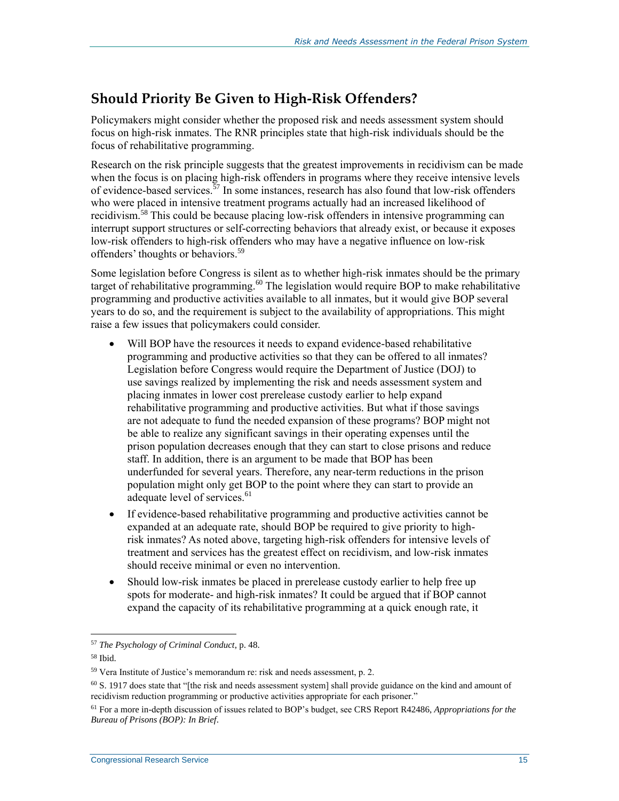#### **Should Priority Be Given to High-Risk Offenders?**

Policymakers might consider whether the proposed risk and needs assessment system should focus on high-risk inmates. The RNR principles state that high-risk individuals should be the focus of rehabilitative programming.

Research on the risk principle suggests that the greatest improvements in recidivism can be made when the focus is on placing high-risk offenders in programs where they receive intensive levels of evidence-based services.<sup>57</sup> In some instances, research has also found that low-risk offenders who were placed in intensive treatment programs actually had an increased likelihood of recidivism.<sup>58</sup> This could be because placing low-risk offenders in intensive programming can interrupt support structures or self-correcting behaviors that already exist, or because it exposes low-risk offenders to high-risk offenders who may have a negative influence on low-risk offenders' thoughts or behaviors.<sup>59</sup>

Some legislation before Congress is silent as to whether high-risk inmates should be the primary target of rehabilitative programming.<sup>60</sup> The legislation would require BOP to make rehabilitative programming and productive activities available to all inmates, but it would give BOP several years to do so, and the requirement is subject to the availability of appropriations. This might raise a few issues that policymakers could consider.

- Will BOP have the resources it needs to expand evidence-based rehabilitative programming and productive activities so that they can be offered to all inmates? Legislation before Congress would require the Department of Justice (DOJ) to use savings realized by implementing the risk and needs assessment system and placing inmates in lower cost prerelease custody earlier to help expand rehabilitative programming and productive activities. But what if those savings are not adequate to fund the needed expansion of these programs? BOP might not be able to realize any significant savings in their operating expenses until the prison population decreases enough that they can start to close prisons and reduce staff. In addition, there is an argument to be made that BOP has been underfunded for several years. Therefore, any near-term reductions in the prison population might only get BOP to the point where they can start to provide an adequate level of services.<sup>61</sup>
- If evidence-based rehabilitative programming and productive activities cannot be expanded at an adequate rate, should BOP be required to give priority to highrisk inmates? As noted above, targeting high-risk offenders for intensive levels of treatment and services has the greatest effect on recidivism, and low-risk inmates should receive minimal or even no intervention.
- Should low-risk inmates be placed in prerelease custody earlier to help free up spots for moderate- and high-risk inmates? It could be argued that if BOP cannot expand the capacity of its rehabilitative programming at a quick enough rate, it

<sup>57</sup> *The Psychology of Criminal Conduct*, p. 48.

<sup>58</sup> Ibid.

<sup>59</sup> Vera Institute of Justice's memorandum re: risk and needs assessment, p. 2.

 $60$  S. 1917 does state that "[the risk and needs assessment system] shall provide guidance on the kind and amount of recidivism reduction programming or productive activities appropriate for each prisoner."

<sup>61</sup> For a more in-depth discussion of issues related to BOP's budget, see CRS Report R42486, *Appropriations for the Bureau of Prisons (BOP): In Brief*.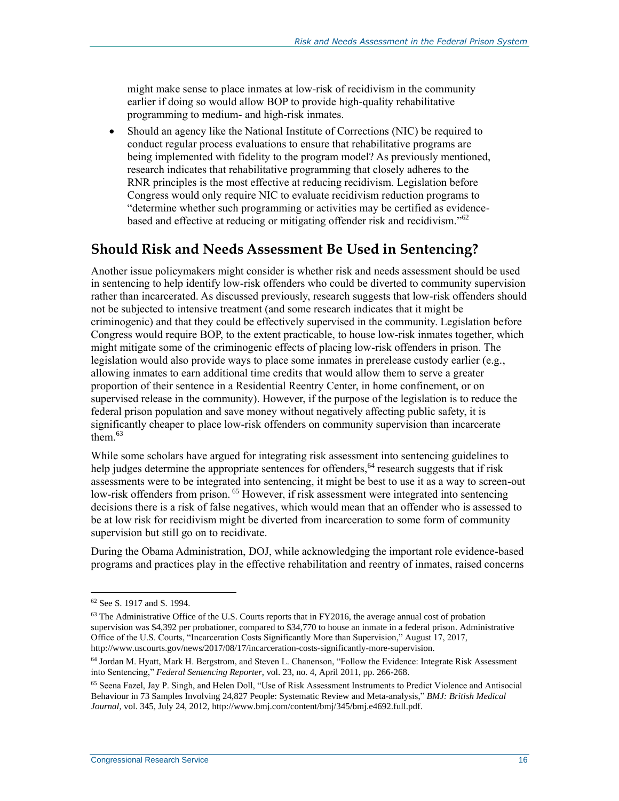might make sense to place inmates at low-risk of recidivism in the community earlier if doing so would allow BOP to provide high-quality rehabilitative programming to medium- and high-risk inmates.

 Should an agency like the National Institute of Corrections (NIC) be required to conduct regular process evaluations to ensure that rehabilitative programs are being implemented with fidelity to the program model? As previously mentioned, research indicates that rehabilitative programming that closely adheres to the RNR principles is the most effective at reducing recidivism. Legislation before Congress would only require NIC to evaluate recidivism reduction programs to "determine whether such programming or activities may be certified as evidencebased and effective at reducing or mitigating offender risk and recidivism."<sup>62</sup>

#### **Should Risk and Needs Assessment Be Used in Sentencing?**

Another issue policymakers might consider is whether risk and needs assessment should be used in sentencing to help identify low-risk offenders who could be diverted to community supervision rather than incarcerated. As discussed previously, research suggests that low-risk offenders should not be subjected to intensive treatment (and some research indicates that it might be criminogenic) and that they could be effectively supervised in the community. Legislation before Congress would require BOP, to the extent practicable, to house low-risk inmates together, which might mitigate some of the criminogenic effects of placing low-risk offenders in prison. The legislation would also provide ways to place some inmates in prerelease custody earlier (e.g., allowing inmates to earn additional time credits that would allow them to serve a greater proportion of their sentence in a Residential Reentry Center, in home confinement, or on supervised release in the community). However, if the purpose of the legislation is to reduce the federal prison population and save money without negatively affecting public safety, it is significantly cheaper to place low-risk offenders on community supervision than incarcerate them.<sup>63</sup>

While some scholars have argued for integrating risk assessment into sentencing guidelines to help judges determine the appropriate sentences for offenders,  $64$  research suggests that if risk assessments were to be integrated into sentencing, it might be best to use it as a way to screen-out low-risk offenders from prison.<sup>65</sup> However, if risk assessment were integrated into sentencing decisions there is a risk of false negatives, which would mean that an offender who is assessed to be at low risk for recidivism might be diverted from incarceration to some form of community supervision but still go on to recidivate.

During the Obama Administration, DOJ, while acknowledging the important role evidence-based programs and practices play in the effective rehabilitation and reentry of inmates, raised concerns

<sup>62</sup> See S. 1917 and S. 1994.

 $63$  The Administrative Office of the U.S. Courts reports that in FY2016, the average annual cost of probation supervision was \$4,392 per probationer, compared to \$34,770 to house an inmate in a federal prison. Administrative Office of the U.S. Courts, "Incarceration Costs Significantly More than Supervision," August 17, 2017, http://www.uscourts.gov/news/2017/08/17/incarceration-costs-significantly-more-supervision.

<sup>64</sup> Jordan M. Hyatt, Mark H. Bergstrom, and Steven L. Chanenson, "Follow the Evidence: Integrate Risk Assessment into Sentencing," *Federal Sentencing Reporter*, vol. 23, no. 4, April 2011, pp. 266-268.

<sup>65</sup> Seena Fazel, Jay P. Singh, and Helen Doll, "Use of Risk Assessment Instruments to Predict Violence and Antisocial Behaviour in 73 Samples Involving 24,827 People: Systematic Review and Meta-analysis," *BMJ: British Medical Journal*, vol. 345, July 24, 2012, http://www.bmj.com/content/bmj/345/bmj.e4692.full.pdf.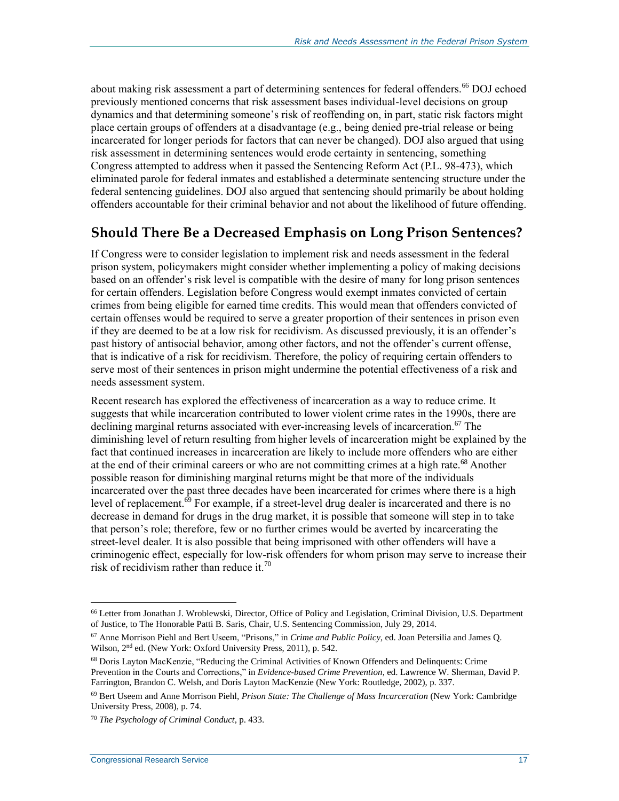about making risk assessment a part of determining sentences for federal offenders.<sup>66</sup> DOJ echoed previously mentioned concerns that risk assessment bases individual-level decisions on group dynamics and that determining someone's risk of reoffending on, in part, static risk factors might place certain groups of offenders at a disadvantage (e.g., being denied pre-trial release or being incarcerated for longer periods for factors that can never be changed). DOJ also argued that using risk assessment in determining sentences would erode certainty in sentencing, something Congress attempted to address when it passed the Sentencing Reform Act (P.L. 98-473), which eliminated parole for federal inmates and established a determinate sentencing structure under the federal sentencing guidelines. DOJ also argued that sentencing should primarily be about holding offenders accountable for their criminal behavior and not about the likelihood of future offending.

#### **Should There Be a Decreased Emphasis on Long Prison Sentences?**

If Congress were to consider legislation to implement risk and needs assessment in the federal prison system, policymakers might consider whether implementing a policy of making decisions based on an offender's risk level is compatible with the desire of many for long prison sentences for certain offenders. Legislation before Congress would exempt inmates convicted of certain crimes from being eligible for earned time credits. This would mean that offenders convicted of certain offenses would be required to serve a greater proportion of their sentences in prison even if they are deemed to be at a low risk for recidivism. As discussed previously, it is an offender's past history of antisocial behavior, among other factors, and not the offender's current offense, that is indicative of a risk for recidivism. Therefore, the policy of requiring certain offenders to serve most of their sentences in prison might undermine the potential effectiveness of a risk and needs assessment system.

Recent research has explored the effectiveness of incarceration as a way to reduce crime. It suggests that while incarceration contributed to lower violent crime rates in the 1990s, there are declining marginal returns associated with ever-increasing levels of incarceration.<sup>67</sup> The diminishing level of return resulting from higher levels of incarceration might be explained by the fact that continued increases in incarceration are likely to include more offenders who are either at the end of their criminal careers or who are not committing crimes at a high rate.<sup>68</sup> Another possible reason for diminishing marginal returns might be that more of the individuals incarcerated over the past three decades have been incarcerated for crimes where there is a high level of replacement. $\frac{69}{9}$  For example, if a street-level drug dealer is incarcerated and there is no decrease in demand for drugs in the drug market, it is possible that someone will step in to take that person's role; therefore, few or no further crimes would be averted by incarcerating the street-level dealer. It is also possible that being imprisoned with other offenders will have a criminogenic effect, especially for low-risk offenders for whom prison may serve to increase their risk of recidivism rather than reduce it.<sup>70</sup>

<sup>66</sup> Letter from Jonathan J. Wroblewski, Director, Office of Policy and Legislation, Criminal Division, U.S. Department of Justice, to The Honorable Patti B. Saris, Chair, U.S. Sentencing Commission, July 29, 2014.

<sup>67</sup> Anne Morrison Piehl and Bert Useem, "Prisons," in *Crime and Public Policy*, ed. Joan Petersilia and James Q. Wilson, 2nd ed. (New York: Oxford University Press, 2011), p. 542.

<sup>68</sup> Doris Layton MacKenzie, "Reducing the Criminal Activities of Known Offenders and Delinquents: Crime Prevention in the Courts and Corrections," in *Evidence-based Crime Prevention*, ed. Lawrence W. Sherman, David P. Farrington, Brandon C. Welsh, and Doris Layton MacKenzie (New York: Routledge, 2002), p. 337.

<sup>69</sup> Bert Useem and Anne Morrison Piehl, *Prison State: The Challenge of Mass Incarceration* (New York: Cambridge University Press, 2008), p. 74.

<sup>70</sup> *The Psychology of Criminal Conduct*, p. 433.